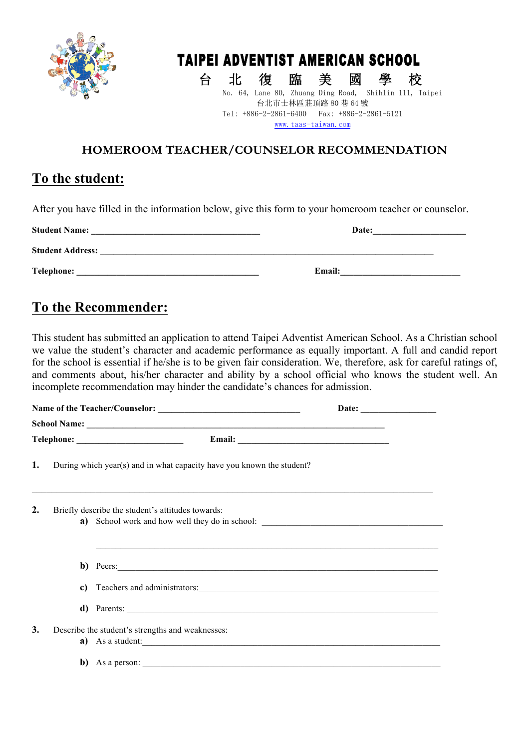

# TAIPEI ADVENTIST AMERICAN SCHOOL

台 北 復 臨 美 國 學 校<br>No. 64, Lane 80, Zhuang Ding Road, Shihlin 111, Taipei 台北市士林區莊頂路 80 巷 64 號 Tel: +886-2-2861-6400 Fax: +886-2-2861-5121 www.taas-taiwan.com

#### **HOMEROOM TEACHER/COUNSELOR RECOMMENDATION**

#### **To the student:**

After you have filled in the information below, give this form to your homeroom teacher or counselor.

| <b>Student Name:</b>    | Date:         |
|-------------------------|---------------|
| <b>Student Address:</b> |               |
| <b>Telephone:</b>       | <b>Email:</b> |

### **To the Recommender:**

This student has submitted an application to attend Taipei Adventist American School. As a Christian school we value the student's character and academic performance as equally important. A full and candid report for the school is essential if he/she is to be given fair consideration. We, therefore, ask for careful ratings of, and comments about, his/her character and ability by a school official who knows the student well. An incomplete recommendation may hinder the candidate's chances for admission.

|    |  |                                                                                                                                                                                                                                                                                                                                                                   | Date: $\qquad \qquad$ |
|----|--|-------------------------------------------------------------------------------------------------------------------------------------------------------------------------------------------------------------------------------------------------------------------------------------------------------------------------------------------------------------------|-----------------------|
|    |  |                                                                                                                                                                                                                                                                                                                                                                   |                       |
|    |  |                                                                                                                                                                                                                                                                                                                                                                   |                       |
| 1. |  | During which year(s) and in what capacity have you known the student?                                                                                                                                                                                                                                                                                             |                       |
| 2. |  | Briefly describe the student's attitudes towards:                                                                                                                                                                                                                                                                                                                 |                       |
|    |  | b) Peers:                                                                                                                                                                                                                                                                                                                                                         |                       |
|    |  |                                                                                                                                                                                                                                                                                                                                                                   |                       |
|    |  | d) Parents:                                                                                                                                                                                                                                                                                                                                                       |                       |
| 3. |  | Describe the student's strengths and weaknesses:<br>a) As a student:<br>b) As a person: $\frac{1}{2}$ and $\frac{1}{2}$ and $\frac{1}{2}$ and $\frac{1}{2}$ and $\frac{1}{2}$ and $\frac{1}{2}$ and $\frac{1}{2}$ and $\frac{1}{2}$ and $\frac{1}{2}$ and $\frac{1}{2}$ and $\frac{1}{2}$ and $\frac{1}{2}$ and $\frac{1}{2}$ and $\frac{1}{2}$ and $\frac{1}{2}$ |                       |
|    |  |                                                                                                                                                                                                                                                                                                                                                                   |                       |